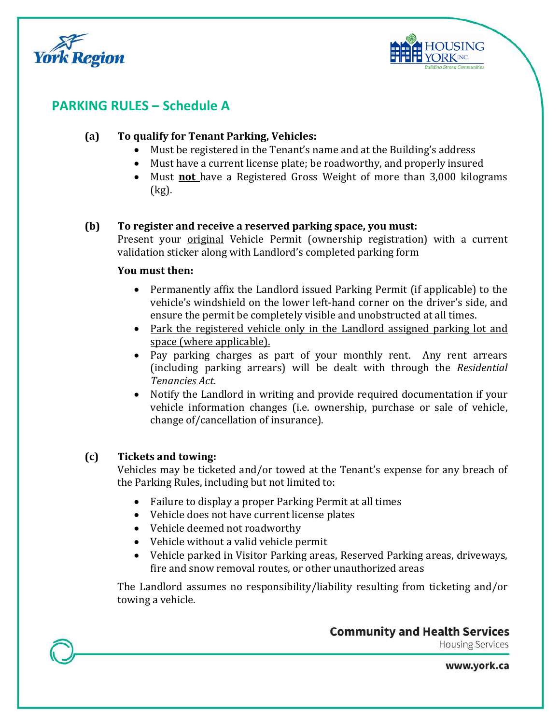



# **PARKING RULES – Schedule A**

### **(a) To qualify for Tenant Parking, Vehicles:**

- Must be registered in the Tenant's name and at the Building's address
- Must have a current license plate; be roadworthy, and properly insured
- Must **not** have a Registered Gross Weight of more than 3,000 kilograms (kg).

#### **(b) To register and receive a reserved parking space, you must:**

Present your original Vehicle Permit (ownership registration) with a current validation sticker along with Landlord's completed parking form

#### **You must then:**

- Permanently affix the Landlord issued Parking Permit (if applicable) to the vehicle's windshield on the lower left-hand corner on the driver's side, and ensure the permit be completely visible and unobstructed at all times.
- Park the registered vehicle only in the Landlord assigned parking lot and space (where applicable).
- Pay parking charges as part of your monthly rent. Any rent arrears (including parking arrears) will be dealt with through the *Residential Tenancies Act*.
- Notify the Landlord in writing and provide required documentation if your vehicle information changes (i.e. ownership, purchase or sale of vehicle, change of/cancellation of insurance).

## **(c) Tickets and towing:**

Vehicles may be ticketed and/or towed at the Tenant's expense for any breach of the Parking Rules, including but not limited to:

- Failure to display a proper Parking Permit at all times
- Vehicle does not have current license plates
- Vehicle deemed not roadworthy
- Vehicle without a valid vehicle permit
- Vehicle parked in Visitor Parking areas, Reserved Parking areas, driveways, fire and snow removal routes, or other unauthorized areas

The Landlord assumes no responsibility/liability resulting from ticketing and/or towing a vehicle.

**Community and Health Services** 

**Housing Services** 

www.york.ca